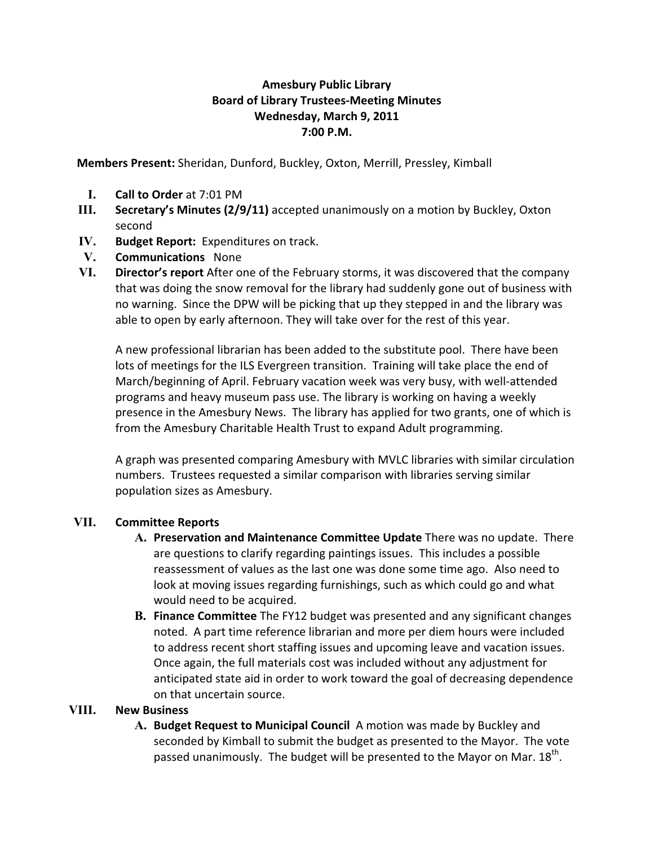## **Amesbury Public Library Board of Library Trustees!Meeting Minutes Wednesday, March 9, 2011 7:00 P.M.**

**Members Present:** Sheridan, Dunford, Buckley, Oxton, Merrill, Pressley, Kimball

- **I. Call to Order** at 7:01 PM
- **III. Secretary's Minutes (2/9/11)** accepted unanimously on a motion by Buckley, Oxton second
- **IV. Budget Report:** Expenditures on track.
- **V. Communications** None
- **VI. Director's report** After one of the February storms, it was discovered that the company that was doing the snow removal for the library had suddenly gone out of business with no warning. Since the DPW will be picking that up they stepped in and the library was able to open by early afternoon. They will take over for the rest of this year.

A new professional librarian has been added to the substitute pool. There have been lots of meetings for the ILS Evergreen transition. Training will take place the end of March/beginning of April. February vacation week was very busy, with well-attended programs and heavy museum pass use. The library is working on having a weekly presence in the Amesbury News. The library has applied for two grants, one of which is from the Amesbury Charitable Health Trust to expand Adult programming.

A graph was presented comparing Amesbury with MVLC libraries with similar circulation numbers. Trustees requested a similar comparison with libraries serving similar population sizes as Amesbury.

## **VII. Committee Reports**

- **A. Preservation and Maintenance Committee Update** There was no update. There are questions to clarify regarding paintings issues. This includes a possible reassessment of values as the last one was done some time ago. Also need to look at moving issues regarding furnishings, such as which could go and what would need to be acquired.
- **B. Finance Committee** The FY12 budget was presented and any significant changes noted. A part time reference librarian and more per diem hours were included to address recent short staffing issues and upcoming leave and vacation issues. Once again, the full materials cost was included without any adjustment for anticipated state aid in order to work toward the goal of decreasing dependence on that uncertain source.

## **VIII. New Business**

**A. Budget Request to Municipal Council** A motion was made by Buckley and seconded by Kimball to submit the budget as presented to the Mayor. The vote passed unanimously. The budget will be presented to the Mayor on Mar.  $18^{\text{th}}$ .